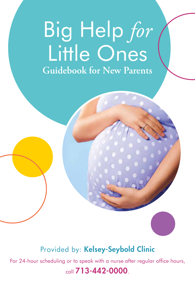# Big Help *for* Little Ones **Guidebook for New Parents**

## Provided by: Kelsey-Seybold Clinic

For 24-hour scheduling or to speak with a nurse after regular office hours,

### call 713-442-0000.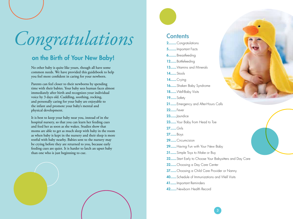*Congratulations*

## on the Birth of Your New Baby!

No other baby is quite like yours, though all have some common needs. We have provided this guidebook to help you feel more confident in caring for your newborn.

Parents can feel closer to their newborns by spending time with their babies. Your baby sees human faces almost immediately after birth and recognizes your individual voice by 3 days old. Cuddling, soothing, rocking, and personally caring for your baby are enjoyable to the infant and promote your baby's mental and physical development.

It is best to keep your baby near you, instead of in the hospital nursery, so that you can learn her feeding cues and feed her as soon as she wakes. Studies show that moms are able to get as much sleep with baby in the room as when baby is kept in the nursery and their sleep is more restful with baby nearby. Babies sent to the nursery may be crying before they are returned to you, because early feeding cues are quiet. It is harder to latch an upset baby than one who is just beginning to cue.





### **Contents**

2........Congratulations 5........Important Facts 6........Breastfeeding 12......Bottlefeeding 13...... Vitamins and Minerals **14......**Stools 14......Crying 16......Shaken Baby Syndrome 18...... Well-Baby Visits 19......Safety 21......Emergency and After-Hours Calls **22......**Fever **23......** Jaundice 23...... Your Baby from Head to Toe 27......Girls 27......Boys 29......Circumcision 29...... Having Fun with Your New Baby **31......** Simple Toys to Make or Buy **32......** Start Early to Choose Your Babysitters and Day Care 32......Choosing a Day Care Center 37......Choosing a Child Care Provider or Nanny 40......Schedule of Immunizations and Well Visits 41......Important Reminders 42......Newborn Health Record

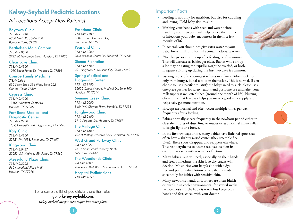## Kelsey-Seybold Pediatric Locations

## *All Locations Accept New Patients!*

#### Baytown Clinic

*713.442.1240 6300 Garth Rd., Suite 200 Baytown, Texas 77521*

Berthelsen Main Campus *713.442.0000 2727 W. Holcombe Blvd., Houston, TX 77025*

Clear Lake Clinic *713.442.4300 1010 South Ponds Dr., Webster, TX 77598*

#### Conroe Family Medicine

*7I3.442.6661 690 South Loop 336 West, Suite 222 Conroe, Texas 77304*

#### Cypress Clinic

*713.442.4000 13105 Wortham Center Dr. Houston, TX 77065*

### Fort Bend Medical and

Diagnostic Center *713.442.9100 11555 University Blvd., Sugar Land, TX 77478*

Katy Clinic *713.442.4100 22121 FM 1093, Richmond, TX 77407*

Kingwood Clinic *713.442.0427 25553 U.S. Highway 59, Porter, TX 77365* 

#### Meyerland Plaza Clinic

*713.442.3222 560 Meyerland Plaza Mall Houston, TX 77096* 

### Pasadena Clinic

*713.442.7100 5001 E. Sam Houston Pkwy. Pasadena, TX 77505*

#### Pearland Clinic *713.442.7200*

*2515 Business Center Dr., Pearland, TX 77584*

#### Sienna Plantation

*713.442.6700 7010 Highway 6, Missouri City, Texas 77459* 

#### Spring Medical and

Diagnostic Center *713.442.1700*

*15655 Cypress Woods Medical Dr., Suite 100 Houston, TX 77014* 

#### Summer Creek Clinic

*713.442.2000 8484 Will Clayton Pkwy., Humble, TX 77338* 

#### Tanglewood Clinic

*713.442.2400 1111 Augusta Dr., Houston, TX 77057*

#### The Vintage Clinic

*713.442.1500 10701 Vintage Preserve Pkwy., Houston, TX 77070*

#### West Grand Parkway Clinic

*7I3.442.4222 2510 West Grand Parkway North Katy, Texas 77449* 

#### The Woodlands Clinic

*7I3.442.1800 106 Vision Park Blvd., Shenandoah, Texas 77384*

Hospital Pediatricians *713.442.4850*

For a complete list of pediatricians and their bios,

#### go to kelsey.seybold.com.

*Kelsey-Seybold accepts most major insurance plans.*



#### Important Facts

- Feeding is not only for nutrition, but also for cuddling and loving. Hold baby skin to skin!
- Washing your hands with soap and water before handling your newborn will help reduce the number of infections your baby encounters in the first few months of life.
- In general, you should not give extra water to your baby; breast milk and formula contain adequate water.
- "Wet burps" or spitting up after feeding is often normal. This will decrease as babies get older. Babies who spit up a lot may be eating too rapidly, might be overfed, or both. Frequent spitting up during the first two days is common.
- Sucking is one of the strongest reflexes in infancy. Babies suck not only from hunger, but also to calm themselves. This is normal. If you choose to use a pacifier to satisfy the baby's need to suck, please use a one-piece pacifier for safety reasons and postpone use until after your milk supply is well established (around one month of life). Nursing often in the first few days helps you make a good milk supply and helps baby get more nutrition.
- Hiccups are normal and often occur multiple times per day, frequently after a feeding.
- Babies normally sneeze frequently in the newborn period either to clear their noses of dust, lint, or mucus or as a normal infant reflex to bright light or a breeze.
- In the first few days of life, many babies have little red spots that often have a slightly raised center (they resemble flea bites). These spots disappear and reappear elsewhere. This rash (erythema toxicum) resolves itself on its own but worsens with warmth or friction.
- Many babies' skin will peel, especially on their hands and feet. Sometimes the skin is so dry cracks will develop. Moisturize your baby's skin with a dyefree and perfume-free lotion or one that is made specifically for babies with sensitive skin.
- Many newborns' hands and/or feet are often bluish or purplish in cooler environments for several weeks (acrocyanosis). If the baby is warm but keeps blue hands and feet, check with your doctor.



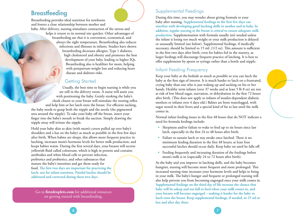## **Breastfeeding**

Breastfeeding provides ideal nutrition for newborns and fosters a close relationship between mother and

baby. After delivery, nursing stimulates contraction of the uterus and helps it return to its normal size quicker. Other advantages of breastfeeding are that it is convenient, economical, and always the right temperature. Breastfeeding also reduces infections and illnesses in infants. Studies have shown breastfeeding decreases allergies, Type 1 diabetes, high cholesterol and obesity and promotes the best development of your baby, leading to higher IQs. Breastfeeding also is healthier for mom, helping with postpartum weight loss and reducing heart disease and diabetes risks.

### **Getting Started**

Usually, the best time to begin nursing is while you are still in the delivery room. A nurse will assist you with positioning the baby. Gently stroking the baby's cheek closest to your breast will stimulate the rooting reflex and help him or her latch onto the breast. For efficient sucking, the baby needs to grasp both the nipple and the areola (the pigmented area around the nipple). To take your baby off the breast, insert your finger into the baby's mouth to break the suction. Simply drawing the nipple away will irritate the nipple.

Hold your baby skin to skin (with mom's covers pulled up over baby's shoulders and a hat on the baby) as much as possible in the first few days after birth. When babies are sleepy, this allows more frequent practice in latching, increases mom's hormone levels for better milk production, and keeps babies warm. During the first several days, your breasts will secrete yellowish fluid called colostrum, which is high in protein and contains antibodies and white blood cells to prevent infection, prebiotics and probiotics, and other substances that mature the baby's intestines and get them ready for food. **The first two days are important for practicing the latch, not for infant nutrition. Painful latches should be addressed and corrected during these two days.**

Go to **firstdroplets.com** for additional resources on getting started with breastfeeding.

### Supplemental Feedings

During this time, you may wonder about giving formula to your baby after nursing. **Supplemental feedings in the first few days can interfere with developing good latching skills in mother and in baby. In addition, regular nursing at the breast is critical to ensure adequate milk production.** Supplementation with formula usually isn't needed unless the infant is losing too much weight or your milk production is delayed or unusually limited (see below). Supplemental feedings, if medically necessary, should be limited to 15 mL (1/2 oz). This amount is sufficient in the first two days after birth, even for babies fed in the nursery, as larger feedings will discourage frequent practice of latching. It is best to offer supplements by spoon or syringe rather than a bottle and nipple.

### Infant Feeding Frequency

Keep your baby at the bedside as much as possible so you can latch the baby at the first sign of interest. It is much harder to latch on a frustrated, crying baby than one who is just waking up and sucking on his or her hands. Healthy term infants (over 37 weeks and at least 5 lb 8 oz) are not at risk of low blood sugar, starvation, or dehydration in the first 72 hours after birth. (This does not apply to infants of insulin-dependent diabetic mothers or infants over 4 days old.) Babies are born waterlogged, with sugar stored in their livers and a special kind of fat to last until the milk comes in.

Normal infant feeding issues in the first 48 hours that do NOT indicate a need for formula feedings include:

- Sleepiness and/or failure to wake to feed up to six hours since last latch, especially in the first 24 to 48 hours after birth.
- Failure to sustain latch or stay awake once latched. There is no minimum feeding duration in the first 48 hours; at least four successful latches should occur daily. Keep baby on until he falls off.
- Feeding frequently and increasing duration of the feedings before mom's milk is in (especially 24 to 72 hours after birth).

As the baby and you improve in latching skills, and the baby becomes hungrier, nursing will become more frequent and more prolonged. This increased nursing time increases your hormone levels and helps to bring in your milk. The baby's hunger and frequent or prolonged nursing will also help prevent you from becoming engorged once your milk comes in. **Supplemental feedings on the third day of life increase the chance that baby will be asleep and too full to feed when your milk comes in, and your breasts will become engorged – making it harder for the baby to latch onto the breast. Keep supplemental feedings, if needed, to 25 ml or less and after day three.**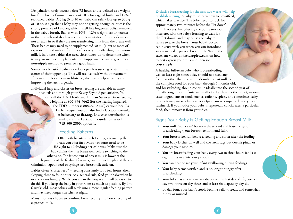Dehydration rarely occurs before 72 hours and is defined as a weight loss from birth of more than about 10% for vaginal births and 12% for sectioned babies. A 3 kg (6 lb 10 oz) baby can safely lose up to 300 g or 10 oz. A sign that a baby may not be getting enough calories is the strong presence of ketones, which smell like fingernail polish remover, in the baby's breath. Babies with 10% – 12% weight loss or ketones in their breath and dry lips need supplementation if mother's milk is not already in or if they are not transferring milk from the breast well. These babies may need to be supplemented 30 ml (1 oz) or more of expressed breast milk or formula after every breastfeeding until mom's milk is in. These babies also need close follow-up to determine when to stop or increase supplementation. Supplements can be given by a non-nipple method to preserve a good latch.

Sometimes breastfed babies develop a painless sucking blister in the center of their upper lips. This will resolve itself without treatment. If mom's nipples are raw or blistered, she needs help assessing and improving the latch urgently.

Individual help and classes on breastfeeding are available at many

hospitals and through your Kelsey-Seybold pediatrician. You can call the **U.S. Heath and Human Services Breastfeeding Helpline** at **800-994-9662** (for the hearing impaired, the TDD number is 888-220-5446) or your local La Leche League. You can also find a lactation consultant at **halcea.org** or **ilca.org**. Low-cost consultation is available at the Lactation Foundation as well: **713-500-2800**, option 1.

#### Feeding Patterns

Offer both breasts at each feeding, alternating the breast you offer first. Most newborns need to be fed eight to 12 feedings per 24 hours. Make sure the baby drains the first breast well before switching to the other side. The fat content of breast milk is lower at the beginning of the feeding (foremilk) and is much higher at the end (hindmilk). Spoon feed or syringe feed breastmilk early on.

Babies often "cluster feed" – feeding constantly for a few hours, then sleeping three to four hours. As a general rule, feed your baby when he or she seems hungry. While you are in the hospital, it will be easier to do this if you keep the baby in your room as much as possible. By 4 to 6 weeks old, most babies will settle into a more regular feeding pattern and may sleep longer stretches at night.

Many mothers choose to combine breastfeeding and bottle feeding of expressed milk.

Exclusive breastfeeding for the first two weeks will help establish nursing. A baby must learn how to breastfeed, which takes practice. The baby needs to suck for approximately two minutes before the "let down" of milk occurs. Introducing the bottle too soon interferes with the baby's learning to wait for the "let down" and may cause the baby to refuse to take the breast. Your baby's doctor can discuss with you when you can introduce supplemental expressed breast milk. Watch the excellent videos at **firstdroplets.com** on how to best express your milk and increase your supply.

A healthy, full-term baby who is breastfeeding well at least eight times a day should not need any feedings other than the mother's milk. Breast milk is the complete food for your baby through 6 months old, and breastfeeding should continue ideally into the second year of life. Although most infants are unaffected by their mother's diet, in some cases, ingredients or foods such as caffeine, spices, and sometimes dairy products may make a baby colicky (gas pain accompanied by crying and fussiness). If you notice your baby is repeatedly colicky after a particular food, then remove it from your diet.

### Signs Your Baby Is Getting Enough Breast Milk

- Your milk "comes in" between the second and fourth days of breastfeeding (your breasts feel firm and full).
- Your breasts feel full before a feeding and softer after the feeding.
- Your baby latches on well and the latch tugs but doesn't pinch or damage your nipples.
- You are breastfeeding your baby every two to three hours (at least eight times in a 24-hour period).
- You can hear or see your infant swallowing during feedings.
- Your baby seems satisfied and is no longer hungry after breastfeedings.
- Your baby has at least one wet diaper on the first day of life, two on day two, three on day three, and at least six diapers by day six.
- By day four, your baby's stools become yellow, seedy, and somewhat runny or mucoid.

8 ) and the set of the set of the set of the set of the set of the set of the set of the set of the set of the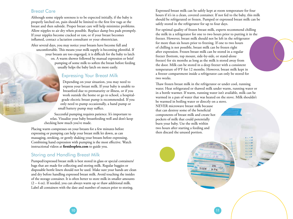#### Breast Care

Although some nipple soreness is to be expected initially, if the baby is properly latched on, pain should be limited to the first few tugs at the breast and then subside. Proper breast care will help minimize problems. Allow nipples to air dry when possible. Replace damp bra pads promptly. If your nipples become cracked or raw, or if your breast becomes inflamed, contact a lactation consultant or your obstetrician.

After several days, you may notice your breasts have become full and uncomfortable. This means your milk supply is becoming plentiful. If your breasts are too engorged, it is difficult for the baby to latch on. A warm shower followed by manual expression or brief pumping of some milk to soften the breast before feeding usually helps the baby latch on more easily.

#### Expressing Your Breast Milk

Depending on your situation, you may need to express your breast milk. If your baby is unable to breastfeed due to prematurity or illness, or if you work outside the home or go to school, a hospitalgrade electric breast pump is recommended. If you only need to pump occasionally, a hand pump or small battery pump may suffice.

Successful pumping requires patience. It's important to relax. Visualize your baby breastfeeding well and don't keep checking how much you've made.

Placing warm compresses on your breasts for a few minutes before expressing or pumping can help your breast milk let down, as can massaging, stroking, or gently shaking your breasts before expressing. Combining hand expression with pumping is the most effective. Watch instructional videos at **firstdroplets.com** to guide you.

### Storing and Handling Breast Milk

Pumped/expressed breast milk is best stored in glass or special containers/ bags that are made for collecting and storing milk. Regular baggies or disposable bottle liners should not be used. Make sure your hands are clean and dry before handling expressed breast milk. Avoid touching the insides of the storage container. It is often better to store milk in smaller amounts  $(2 - 4 \text{ oz})$ . If needed, you can always warm up or thaw additional milk. Label all containers with the date and number of ounces prior to storing.

Expressed breast milk can be safely kept at room temperature for four hours if it's in a clean, covered container. If not fed to the baby, this milk should be refrigerated or frozen. Pumped or expressed breast milk can be safely stored in the refrigerator for up to four days.

For optimal quality of frozen breast milk, experts recommend chilling the milk in a refrigerator for one to two hours prior to putting it in the freezer. However, breast milk should not be left in the refrigerator for more than six hours prior to freezing. If one to two hours of chilling is not possible, breast milk can be frozen right after expression. Frozen breast milk can be stored in a regular freezer (bottom, top mount, side-by-side, or stand-alone freezer) for six months as long as the milk is stored away from the door. Milk can be stored in a deep freezer with a consistent temperature of 0°F for 12 months. However, breast milk kept in a freezer compartment inside a refrigerator can only be stored for two weeks.

Thaw frozen breast milk in the refrigerator or under cool, running water. Heat refrigerated or thawed milk under warm, running water or in a bottle warmer. If warm, running water isn't available, milk can be warmed in a pan of water that was heated on the stove. Milk shouldn't be warmed in boiling water or directly on a stove.

> $240$  $13/12/15$  / 14.00%

NEVER microwave breast milk because that can destroy some of the beneficial components of breast milk and create hot pockets of milk that could potentially burn your baby. Use the milk within two hours after starting a feeding and then discard the unused portion.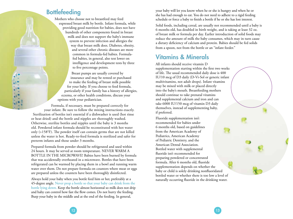## **Bottlefeeding**

Mothers who choose not to breastfeed may feed expressed breast milk by bottle. Infant formula, while providing good nutrition for babies, does not have hundreds of other components found in breast milk and does not support the baby's immune system to prevent infection and allergies the way that breast milk does. Diabetes, obesity, and several other chronic diseases are more common in formula-fed babies. Formulafed babies, in general, also test lower on intelligence and development tests by three to five percentage points.

Breast pumps are usually covered by insurance and may be rented or purchased to make the feeding of breast milk possible for your baby. If you choose to feed formula, particularly if your family has a history of allergies, eczema, or other health conditions, discuss your options with your pediatrician.

Formula, if necessary, must be prepared correctly for your infant. Be sure to follow the mixing instructions exactly. Sterilization of bottles isn't essential if a dishwasher is used (hot rinse or heat dried) and the bottle and nipples are thoroughly washed. Otherwise, sterilize bottles and nipples until the baby is 3 months old. Powdered infant formula should be reconstituted with hot water only (>158°F). The powder itself can contain germs that are not killed unless the water is hot. Ready-to-feed formula is sterilized and safer for preterm infants and those under 3 months.

Prepared formula from powder should be refrigerated and used within 24 hours. It may be served at room temperature. NEVER WARM A BOTTLE IN THE MICROWAVE! Babies have been burned by formula that was accidentally overheated in a microwave. Bottles that have been refrigerated can be warmed by placing them in a bowl and running warm water over them. Do not prepare formula on counters where meat or eggs are prepared unless the counters have been thoroughly disinfected.

Always hold your baby when you bottle feed him or her, preferably at a 45-degree angle. Never prop a bottle so that your baby can drink from the bottle lying down. Keep the bottle almost horizontal so milk does not drip and baby can control how fast the flow comes. Do not hurry the feeding. Burp your baby in the middle and at the end of the feeding. In general,

your baby will let you know when he or she is hungry and when he or she has had enough to eat. You do not need to adhere to a rigid feeding schedule or force a baby to finish a bottle if he or she has lost interest.

Solid foods, including cereal, are usually not recommended until a baby is 6 months old, has doubled in birth weight, and is taking at least 32 oz. of breast milk or formula per day. Earlier introduction of solid foods may reduce the amount of milk the baby consumes, which may in turn cause a dietary deficiency of calcium and protein. Babies should be fed solids from a spoon, not from the bottle or an "infant feeder."

## Vitamins & Minerals

All infants should receive vitamin D supplementation starting within the first two weeks of life. The usual recommended daily dose is 400 IU/10 mcg of D3 daily (D-Vi-Sol or generic infant multivitamins, not adult drops). Infant vitamins may be mixed with milk or placed directly into the baby's mouth. Breastfeeding mothers should continue to take prenatal vitamins and supplemental calcium and iron and can take 6000 IU/150 mcg of vitamin D3 daily themselves, instead of supplementing baby, if preferred.

Fluoride supplementation isn't recommended for babies under 6 months old, based on guidelines from the American Academy of Pediatrics, American Academy of Pediatric Dentistry, and the American Dental Association. Bottled water with supplemental fluoride isn't recommended for preparing powdered or concentrated formula. After 6 months old, fluoride supplementation depends on whether the baby or child is solely drinking nonfluoridated bottled water or whether there is too low a level of naturally occurring fluoride in the drinking water.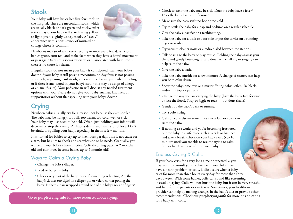## **Stools**

Your baby will have his or her first few stools in the hospital. These are meconium stools, which are usually black or dark green and sticky. After several days, your baby will start having yellow to light green, slightly watery stools. A "seedy" appearance with a consistency of mustard or cottage cheese is common.



Newborns may stool with every feeding or once every few days. Most babies grunt, turn red, and make faces when they have a bowel movement or pass gas. Unless this seems excessive or is associated with hard stools, there is no cause for alarm.

Irregular stools do not mean your baby is constipated. Call your baby's doctor if your baby is still passing meconium on day four, is not passing any stools, is passing hard stools, appears to be having pain when stooling, or if there is any blood in your baby's stool (this may be a sign of allergy or an anal fissure). Your pediatrician will discuss any needed treatment options with you. Please do not give your baby enemas, laxatives, or suppositories without first speaking with your baby's doctor.

## **Crying**

Newborn babies usually cry for a reason, not because they are spoiled. The baby may be hungry, too full, too warm, too cold, wet, or sick. Your baby may just need to be held. Often, just holding your infant will decrease or stop the crying. All babies desire and need a lot of love. Don't be afraid of spoiling your baby, especially in the first few months.

It is normal for babies to cry up to five hours per day. This is not cause for alarm, but be sure to check and see what she or he needs. Gradually, you will learn your baby's different cries. Colickly crying peaks at 2 months old and continues in some babies up to 5 months old!

### Ways to Calm a Crying Baby

- Change the baby's diaper.
- Feed or burp the baby.
- Check every part of the baby to see if something is hurting: Are the baby's clothes too tight? Is a diaper pin or velcro corner poking the baby? Is there a hair wrapped around one of the baby's toes or fingers?

Go to **purplecrying.info** for more resources about crying.

- Check to see if the baby may be sick: Does the baby have a fever? Does the baby have a stuffy nose?
- Make sure the baby isn't too hot or too cold.
- Try to settle the baby for a nap and bedtime on a regular schedule.
- Give the baby a pacifier or a teething ring.
- Take the baby for a walk or a car ride or put the carrier on a running dryer or washer.
- Try vacuum cleaner noise or a radio dialed between the stations.
- Talk or sing to the baby or play music. Holding the baby against your chest and gently bouncing up and down while talking or singing can help calm the baby.
- Give the baby a bath.
- Take the baby outside for a few minutes. A change of scenery can help you both calm down.
- Show the baby some toys or a mirror. Young babies often like blackand-white toys or patterns.
- Change the way you are carrying the baby (have the baby face forward or face the floor). Sway or jiggle or rock — but don't shake!
- Gently rub the baby's back or tummy.
- Try a baby swing.
- Call someone else sometimes a new face or voice can calm the baby.
- If nothing else works and you're becoming frustrated, put the baby in a safe place such as a crib or bassinet and take a break. Check on your baby every 5 to 10 minutes until you are able to resume trying to calm him or her. Crying won't hurt your baby.

### Endless Crying & Colic

If your baby cries for a very long time or repeatedly, you may want to consult your pediatrician. Your baby may have a health problem or colic. Colic occurs when a baby cries for more than three hours every day for more than three days a week. With some babies, colic can sound like screaming, instead of crying. Colic will not hurt the baby, but it can be very stressful and hard for the parents or caretakers. Sometimes, your healthcare provider can help by making changes in the baby's diet or provide other recommendations. Check out **purplecrying.info** for more tips on caring for a baby with colic.

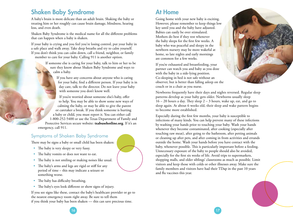## Shaken Baby Syndrome

A baby's brain is more delicate than an adult brain. Shaking the baby or treating him or her roughly can cause brain damage, blindness, hearing loss, and even death.

Shaken Baby Syndrome is the medical name for all the different problems that can happen when a baby is shaken.

If your baby is crying and you feel you're losing control, put your baby in a safe place and walk away. Take deep breaths and try to calm yourself. If you don't think you can calm down, call a friend, neighbor, or family member to care for your baby. Calling 911 is another option.

> If someone else is caring for your baby, talk to him or her to be sure they know about Shaken Baby Syndrome and ways to calm a baby.

> > If you have any concerns about anyone who is caring for your baby, find a different person. If your baby is in day care, talk to the director. Do not leave your baby with someone you don't know well.

If you're worried about someone else's baby, offer to help. You may be able to show some new ways of calming the baby, or may be able to give the parent or caretaker a break. If you think someone is hurting a baby or child, you must report it. You can either call 1-800-252-5400 or use the Texas Department of Family and Protective Services secure website: **txabusehotline.org**. If it's an emergency, call 911.

### Symptoms of Shaken Baby Syndrome

There may be signs a baby or small child has been shaken:

- The baby is very sleepy or very fussy.
- The baby vomits or does not want to eat.
- The baby is not smiling or making noises like usual.
- The baby's arms and legs are rigid or stiff for any period of time – this may indicate a seizure or something worse.
- The baby has difficulty breathing.
- The baby's eyes look different or show signs of injury.

If you see signs like these, contact the baby's healthcare provider or go to the nearest emergency room right away. Be sure to tell them if you think your baby has been shaken — this can save precious time.

## At Home

Going home with your new baby is exciting. However, please remember to keep things low key until you and the baby have adjusted. Babies can easily be over stimulated. Mothers do best if they rest whenever the baby sleeps for the first few weeks. A baby who was peaceful and sleepy in the newborn nursery may be more wakeful at home, so late nights and early mornings are common for a few weeks.

If you're exhausted and breastfeeding, your partner can watch you and baby as you doze with the baby in a side-lying position. Co-sleeping in bed is not safe without an observer, but is better than falling asleep on the couch or in a chair as you nurse.

Newborns frequently have their days and nights reversed. Regular sleep patterns develop as your baby gets older. Newborns usually sleep 16 – 20 hours a day. They sleep 2 – 3 hours, wake up, eat, and go to sleep again. At about 6 weeks old, their sleep and wake pattern begins to become more established.

Especially during the first few months, your baby is susceptible to infections of many kinds. You can help prevent many of these infections by washing your hands prior to touching your baby. Wash your hands whenever they become contaminated, after cooking (especially after touching raw meat), after going to the bathroom, after petting animals or cleaning up after pets, and after coming in from activities and errands outside the home. Wash your hands before you have contact with the baby, whenever possible. This is particularly important before a feeding. Unnecessary exposure of the baby to people should also be avoided, especially for the first six weeks of life. Avoid trips to supermarkets, shopping malls, and older siblings' classrooms as much as possible. Limit visitors and keep those with colds or other illnesses away. Make sure the family members and visitors have had their TDap in the past 10 years and flu vaccines this year.



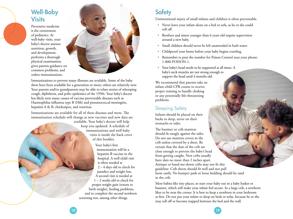## Well-Baby **Visits**

Preventive medicine is the cornerstone of pediatrics. At well-baby visits, your baby's doctor assesses nutrition, growth, and development, performs a thorough physical examination, gives parents guidance on common problems, and orders immunizations.



Immunizations to prevent many illnesses are available. Some of the baby shots have been available for a generation or more; others are relatively new. Your parents and/or grandparents may be able to relate stories of whooping cough, diphtheria, and polio epidemics of the 1950s. Your baby's doctor has likely seen many causes of vaccine-preventable diseases such as Haemophilus influenza type B (Hib) and pneumococcal meningitis, hepatitis A & B, chickenpox, and rotavirus.

Immunizations are available for all of these diseases and more. The immunization schedule will change as new vaccines and new data are

> available. Your baby's doctor will help keep you updated. A schedule of immunizations and well-baby visits is inside the back cover of this booklet.

Your baby's first immunization will be a hepatitis B vaccine in the hospital. A well-child visit is often needed at 2 – 4 days old to check for jaundice and weight loss. A second visit is needed at 1 – 2 weeks old to check for proper weight gain (return to birth weight), feeding problems, and to complete the second newborn screening test, among other things.

## **Safety**

Unintentional injury of small infants and children is often preventable.

- Never leave your infant alone on a bed or sofa, as he or she could roll off.
- Brothers and sisters younger than 6 years old require supervision around a new baby.
- Small children should never be left unattended in bath water.
- Childproof your home before your baby begins crawling.
- Remember to post the number for Poison Control near your phone: 1-800-POISON-1.
- Your baby's head needs to be supported at all times. A baby's neck muscles are not strong enough to support the head until 4 months old.

We recommend that parents take an infant-child CPR course to receive proper training to handle choking or any potentially life-threatening problems.

## Sleeping Safety

Infants should be placed on their backs to sleep, never on their stomachs or sides.

The bassinet or crib mattress should fit snugly against the sides. Do not use mattress covers in the crib unless covered by a sheet. Be certain that the slats of the crib are close enough to prevent the baby's head from getting caught. New cribs usually have slats no more than 2 inches apart. Antique or hand-me-down cribs may not fit this guideline. Crib sheets should fit well and not pull loose easily. No bumper pads or loose bedding should be used in the crib.

Most babies like tiny places, so start your baby out in a baby basket or bassinet, which will make your infant feel secure. In a large crib, a newborn likes to be near the corner. It is best to keep a newborn in your bedroom at first. Do not put your infant to sleep on beds or sofas, because he or she may roll off or become trapped between the bed and the wall.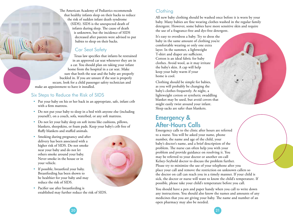The American Academy of Pediatrics recommends that healthy infants sleep on their backs to reduce the risk of sudden infant death syndrome (SIDS). SIDS is the unexpected death of infants during sleep. The cause of death is unknown, but the incidence of SIDS decreased after parents were advised to put babies to sleep on their backs.

### Car Seat Safety

Texas law specifies that infants be restrained in an approved car seat whenever they are in a car. You should plan on taking your infant home from the hospital in a car seat. Make sure that both the seat and the baby are properly buckled in. If you are unsure if the seat is properly secure, look for a child passenger safety technician and make an appointment to have it installed.

### Six Steps to Reduce the Risk of SIDS

- Put your baby on his or her back in an appropriate, safe, infant crib with a firm mattress.
- Do not put your baby to sleep in a bed with anyone else (including yourself), on a couch, sofa, waterbed, or any soft mattress.
- Do not let your baby sleep on soft items like cushions, pillows, blankets, sheepskins, or foam pads. Keep your baby's crib free of fluffy blankets and stuffed animals.
- Smoking during pregnancy and after delivery has been associated with a higher risk of SIDS. Do not smoke near your baby and do not let others smoke around your baby. Never smoke in the house or in your vehicle.

• If possible, breastfeed your baby. Breastfeeding has been shown to be healthier for your baby and may

reduce the risk of SIDS.



• Pacifier use after breastfeeding is established may further reduce the risk of SIDS.

### **Clothing**

All new baby clothing should be washed once before it is worn by your baby. Many babies are fine wearing clothes washed in the regular family detergent. However, some babies have more sensitive skin and require the use of a fragrance-free and dye-free detergent.

It's easy to overdress a baby. Try to dress the baby in the same amount of clothing you're comfortable wearing or only one extra layer. In the summer, a lightweight T-shirt and diaper are sufficient. Cotton is an ideal fabric for baby clothes. Avoid wool, as it may irritate the baby's skin. A cap will help keep your baby warm if your home is cool.

Clothing should be simple for babies, as you will probably be changing the baby's clothes frequently. At night, a lightweight cotton or synthetic swaddling blanket may be used, but avoid covers that might easily twist around your infant. Sleep sacks are safer than blankets.

## Emergency & After-Hours Calls

Emergency calls to the clinic after hours are referred to a nurse. You will be asked your name, phone number, the name and age of the child, your baby's doctor's name, and a brief description of the problem. The nurse can often help you with your problem and provide guidance on resolving it. You may be referred to your doctor or another on-call Kelsey-Seybold doctor to discuss the problem further. Please try to minimize the use of your telephone after you place your call and remove the restriction on unknown callers so the doctor on call can reach you in a timely manner. If your child is sick, the doctor or nurse will want to know the child's temperature. If possible, please take your child's temperature before you call.

You should have a pen and paper handy when you call to write down any instructions. You should also know the names and amounts of any medicines that you are giving your baby. The name and number of an open pharmacy may also be needed.

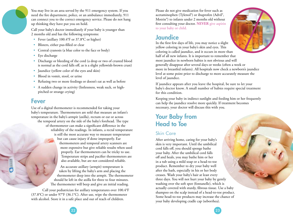You may live in an area served by the 911 emergency system. If you need the fire department, police, or an ambulance immediately, 911 can connect you to the correct emergency service. Please do not hang up thinking they have put you on hold.

Call your baby's doctor immediately if your baby is younger than 2 months old and has the following symptoms:

- Fever (axillary 100.4°F or 37.8°C or higher)
- Blisters, either pus-filled or clear
- Central cyanosis (a blue color to the face or body)
- Eye discharge
- Discharge or bleeding of the cord (a drop or two of crusted blood is normal as the cord falls off, as is a slight yellowish-brown crust)
- Jaundice (yellow color of the eyes and skin)
- Blood in vomit, stool, or urine
- Refusing two or more feedings or doesn't eat as well as before
- A sudden change in activity (listlessness, weak suck, or highpitched or strange crying)

### Fever

Use of a digital thermometer is recommended for taking your baby's temperature. Thermometers are sold that measure an infant's temperature in the baby's armpit (axilla), rectum or ear or across the temporal artery on the side of the baby's forehead. The type of thermometer can make a significant difference in the reliability of the readings. In infants, a rectal temperature is still the most accurate way to measure temperature but can cause injury if done improperly. Ear thermometers and temporal artery scanners are more expensive but give reliable results when used properly. Ear thermometers can be tricky to use. Temperature strips and pacifier thermometers are also available, but are not considered reliable.

> An accurate axillary (armpit) temperature is taken by lifting the baby's arm and placing the thermometer deep into the armpit. The thermometer should be left in the axilla for three to four minutes. The thermometer will beep and give an initial reading.

Call your pediatrician for axillary temperatures over 100.4°F (37.8°C) or under 97°F (36.1°C). After use, wipe the thermometer with alcohol. Store it in a safe place and out of reach of children.

Please do not give medication for fever such as acetaminophen (Tylenol®) or ibuprofen (Advil®, Motrin®) to infants under 2 months old without first consulting your doctor. **NEVER** give aspirin to your baby or child.

## **Jaundice**



In the first few days of life, you may notice a slight yellow coloring in your baby's skin and eyes. This coloring is called jaundice, and it occurs in more than half of all new infants. It is important to remember that most jaundice in newborn babies is not obvious and will generally disappear after several days or weeks (often a week or more in breastfed infants). All hospitals now check a newborn's jaundice level at some point prior to discharge to more accurately measure the level of jaundice.

If jaundice appears after you leave the hospital, be sure to let your baby's doctor know. A small number of babies require special treatment for this condition.

Keeping your baby in indirect sunlight and feeding him or her frequently can help the jaundice resolve more quickly. If treatment becomes necessary, your doctor will discuss this with you.

## Your Baby from Head to Toe

### Skin Care

After arriving home, caring for your baby's skin is very important. Until the umbilical cord falls off, you should sponge bathe your baby. After the umbilical cord falls off and heals, you may bathe him or her in a tub using a mild soap or a head-to-toe product. Remember to dry your baby well after the bath, especially in his or her body creases. Wash your baby's hair at least every three days. You will not hurt your baby by gently washing over the soft spot (fontanelle), which is actually covered with sturdy, fibrous tissue. Use a baby shampoo on the scalp instead of a head-to-toe product. Some head-to-toe products may increase the chance of your baby developing cradle cap (seborrhea).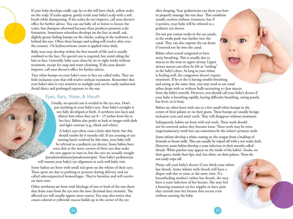If your baby develops cradle cap, he or she will have thick, yellow scales on the scalp. If scales appear, gently scrub your baby's scalp with a soft brush while shampooing. If the scales do not improve, call your doctor's office for further advice. You can use baby oil or lotion to loosen the scales, but shampoo afterward because these products promote scale formation. Sometimes seborrhea develops on the face as small, red, slightly greasy-feeling bumps on the cheeks, scaling in the eyebrows, or behind the ears. Often these bumps and scaling will resolve after overthe-counter, 1% hydrocortisone cream is applied twice daily.

Baby acne may develop within the first month of life and is usually confined to the face. No special care is required, but avoid oiling the hair or face. Generally, baby acne clears by six to eight weeks without treatment, except for soap and water cleansing. If the acne doesn't improve, call your doctor's office for further advice.

Tiny white bumps on your baby's nose or face are called milia. They are little inclusion cysts that will resolve without treatment. Remember that your baby's skin is very sensitive to sunlight and can be easily sunburned. Avoid direct and prolonged exposure to the sun.

#### Eyes, Ears, Nose, & Mouth

Usually, no special care is needed in the eye area. Don't put anything in your baby's eyes. Your baby's eyesight is not fully developed at birth. A newborn sees faces and objects best when they are 8 – 15 inches from his or her face. Babies also prefer to look at images with dark and light contrast (e.g., black and white).

A baby's eyes often cross a little after birth, but this should resolve by 6 months old. If eye crossing or eye turning hasn't resolved by this time, your baby will be referred to a pediatric eye doctor. Some babies have extra skin at the inner corners of their eyes that make the eyes appear to turn in, but the eyes are actually straight (pseudostrabismus/pseudoesotropia). Your baby's pediatrician will reassess your baby's eye alignment at each well-baby visit.

Some babies are born with small red spots on the whites of their eyes. These spots are due to pushing or pressure during delivery and are called subconjunctival hemorrhages. They're harmless and will resolve on their own.

Other newborns are born with blockage of one or both of the tear ducts that drain tears from the eye into the nose (lacrimal duct stenosis). The affected eye will usually appear more watery. You may also notice that cream-colored or yellowish mucus builds up in the corner of the eye

after sleeping. Your pediatrician can show you how to properly massage the tear duct. This condition usually resolves without treatment, but if it persists, your baby will be referred to a pediatric eye doctor.

Do not put cotton swabs in the ear canals, as the swabs push wax further into the canal. They can also rupture the ear drum if inserted too far into the canal.

Babies often sound congested or have noisy breathing. This is usually due to mucus in the nose or upper airway. Upper airway mucus can often be felt as "rattling" in the baby's chest. As long as your infant is feeding well, the congestion doesn't require treatment. If he or she is having trouble breathing and eating at the same time, you may need to use nasal saline drops with or without bulb suctioning to clear mucus from the baby's nostrils. However, you should call your baby's doctor if your baby is breathing rapidly, having difficulty breathing, eating poorly, has fever, or is fussy.

Babies are often born with one or a few small white bumps in the center of their palates or on their gums. These bumps are usually benign inclusion cysts and aren't teeth. They will disappear without treatment.

Infrequently, babies are born with real teeth. These teeth should not be removed unless they become loose. These teeth may be extra (supernumerary) teeth but can sometimes be the infant's primary teeth.

Some infants develop a white coating on the tongue from a buildup of formula or breast milk. This can usually be wiped off with a wet wash cloth. However, some babies develop a yeast infection in their mouths called thrush. White patches may appear on the inside of the babies' cheeks, on their gums, inside their lips, and, less often, on their palates. These do not easily wipe off.

Please call your baby's doctor if you think your infant has thrush. Some infants with thrush will have a diaper rash due to yeast at the same time. If a breastfeeding mother's infant has thrush, she may have a yeast infection of her breasts. She may feel a burning sensation on her nipples or have pain that extends into her breasts that occurs even without nursing the baby.

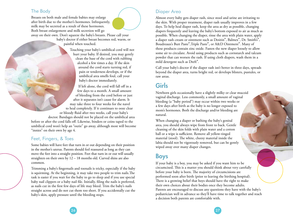#### The Body

Breasts on both male and female babies may enlarge after birth due to the mother's hormones. Infrequently, milk may be secreted as a result of these hormones. Both breast enlargement and milk secretion will go away on their own. Don't squeeze the baby's breasts. Please call your baby's doctor if either breast becomes red, warm, or painful when touched.

> Touching your baby's umbilical cord will not hurt your baby. If desired, you may gently clean the base of the cord with rubbing alcohol a few times a day. If the skin around the cord starts turning red, if pain or tenderness develops, or if the umbilical area smells foul, call your baby's doctor immediately.

If left alone, the cord will fall off in a few days to a month. A small amount of bleeding from the cord before or just after it separates isn't cause for alarm. It may take three to four weeks for the navel to heal completely. If it continues to ooze clear or bloody fluid after two weeks, call your baby's doctor. Bandages should not be placed on the umbilical area before or after the cord falls off. Likewise, binders or coins taped to the umbilical cord won't help an "outie" go away, although most will become "innies" on their own by age 4.

#### Feet, Fingers, & Toes

Some babies will have feet that turn in or out depending on their position in the mother's uterus. Parents should feel reassured as long as they can move the feet into a straight position. Feet that turn in or out will usually straighten on their own by 12 – 18 months old. Curved shins are also common.

Trimming a baby's fingernails and toenails is tricky, especially if the baby is squirming. At the beginning, it may take two people to trim nails.The task is easier if you wait for the baby to go to sleep and if you use special baby nail clippers or a baby nail file. Initially, filing the nails is preferred, as nails cut in the first few days of life may bleed. Trim the baby's nails straight across and do not cut them too short. If you accidentally cut the baby's skin, apply pressure until the bleeding stops.

### Diaper Area

Almost every baby gets diaper rash, since stool and urine are irritating to the skin. With proper treatment, diaper rash usually improves in a few days. To help heal diaper rash, keep the area as dry as possible, changing diapers frequently and leaving the baby's bottom exposed to air as much as possible. When changing the diaper, rinse the area with plain water, apply a diaper rash cream or ointment such as Desitin®, Balmex®, Dr. Smith's®, Boudreaux's Butt Paste®,Triple Paste®, or A&D Ointment®. Many of these products contain zinc oxide. Fasten the new diaper loosely to allow some air to circulate. Avoid using products such as cornstarch and talcum powder that can worsen the rash. If using cloth diapers, wash them in a mild detergent such as Dreft®.

Call your baby's doctor if the diaper rash isn't better in three days, spreads beyond the diaper area, turns bright red, or develops blisters, pustules, or raw areas.

## Girls

Newborn girls occasionally have a slightly milky or clear mucoid vaginal discharge. Less commonly, a small amount of vaginal bleeding (a "baby period") may occur within two weeks or a few days after birth as the baby is no longer exposed to mom's hormones. Both the discharge and/or bleeding are natural.

When changing a diaper or bathing the baby's genital area, you should always wipe from front to back. Gentle cleaning of the skin folds with plain water and a cotton ball or a wipe is sufficient. Remove all yellow-tinged material (stool). The white, cheesy material inside the labia should not be vigorously removed, but can be gently wiped away over many diaper changes.

## Boys

If your baby is a boy, you may be asked if you want him to be circumcised. This is a matter you should think about very carefully before your baby is born. The majority of circumcisions are performed soon after birth (prior to leaving the birthing hospital). There is a growing belief that boys should have the right to make their own choices about their bodies once they become adults. Parents are encouraged to discuss any questions they have with the baby's pediatrician well in advance so they'll have time to talk together and reach a decision both parents are comfortable with.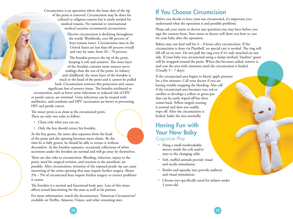Circumcision is an operation where the loose skin of the tip of the penis is removed. Circumcision may be done for cultural or religious reasons but is rarely needed for medical reasons. No national or international medical societies recommend circumcision.

> Elective circumcision is declining throughout the world. Worldwide, over 80 percent of boys remain intact. Circumcision rates in the United States are less than 60 percent overall and vary by state, from  $20 - 70$  percent.

The foreskin protects the tip of the penis, keeping it soft and sensitive. The inner layer of the foreskin contains more sensory nerve endings than the rest of the penis. In infancy and childhood, the inner layer of the foreskin is stuck to the head of the penis and it cannot be pulled back. Circumcision removes this protection and causes significant loss of sensory tissue. The benefits attributed to circumcision, such as fewer urine infections or reduced risk of HIV

or penile cancer, are minimal. Urine infections can be treated with antibiotics, and condoms and HPV vaccination are better at preventing HIV and penile cancer.

The intact penis is as clean as the circumcised penis. There are only two rules to follow:

- Clean only what you can see.
- Only the boy should retract his foreskin.

As the boy grows, the inner skin separates from the head of the penis and the opening becomes more elastic. By the time he is fully grown, he should be able to retract it without discomfort. As the foreskin separates, occasional collections of white secretions under the foreskin are normal and will go away by themselves.

There are also risks to circumcision. Bleeding, infection, injury to the penis, need for surgical revision, and reaction to the anesthetic are possible. After circumcision, irritation of the exposed penile tip can cause narrowing of the urine opening that may require further surgery. About 2% – 5% of circumcised boys require further surgery to correct problems it causes.

The foreskin is a normal and functional body part. Loss of this tissue affects sexual functioning for the man as well as his partner.

For more information, watch the documentary "American Circumsicion" available on Netflix, Amazon, Vimeo, and other streaming sites.

## If You Choose Circumcision

Before you decide to have your son circumcised, it's important you understand what the operation is and possible problems.

Please ask your nurse or doctor any questions you may have before you sign the consent form. Your nurse or doctor will show you how to care for your baby after the operation.

Babies may not feed well for 6 – 8 hours after circumcision. If the circumcision is done via Plastibell, no special care is needed. The ring will fall off on its own. Do not pull the ring even if it's only attached on one side. If your baby was circumcised using a clamp method, Vaseline® gauze will be wrapped around the penis. When this becomes soiled, remove it and coat the area with ointment until the circumcision is healed. (Usually  $5 - 7$  days).

If the circumcised area begins to bleed, apply pressure for a few minutes. Call your doctor if you are having trouble stopping the bleeding. Also call if the circumcised area becomes very red or swollen or develops a yellow or green pus that can be easily wiped off but then comes back. Yellow-tinged crusting is normal and does not readily wipe off. After the circumcision is healed, bathe the area normally.

## Having Fun with Your New Baby Cognitive Play

- Hang a small nonbreakable mirror inside the crib and/or next to the changing table.
- Soft, stuffed animals provide visual and tactile stimulation.
- Rattles and squeaky toys provide auditory and visual stimulation.
- Choose toys specifically rated for infants under 3 years old.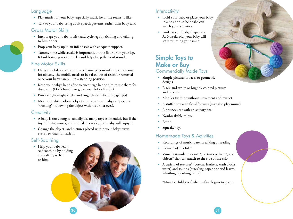#### Language

- Play music for your baby, especially music he or she seems to like.
- Talk to your baby using adult speech patterns, rather than baby talk.

### Gross Motor Skills

- Encourage your baby to kick and cycle legs by tickling and talking to him or her.
- Prop your baby up in an infant seat with adequate support.
- Tummy time while awake is important, on the floor or on your lap. It builds strong neck muscles and helps keep the head round.

### Fine Motor Skills

- Hang a mobile over the crib to encourage your infant to reach out for objects. The mobile needs to be raised out of reach or removed once your baby can pull to a standing position.
- Keep your baby's hands free to encourage her or him to use them for discovery. (Don't bundle or glove your baby's hands.)
- Provide lightweight rattles and rings that can be easily grasped.
- Move a brightly colored object around so your baby can practice "tracking" (following the object with his or her eyes).

### **Creativity**

- A baby is too young to actually use many toys as intended, but if the toy is bright, moves, and/or makes a noise, your baby will enjoy it.
- Change the objects and pictures placed within your baby's view every few days for variety.

### Self-Soothing

• Help your baby learn self-soothing by holding and talking to her or him.

### **Interactivity**

- Hold your baby or place your baby in a position so he or she can watch your activities.
- Smile at your baby frequently. At 6 weeks old, your baby will start returning your smile.

## Simple Toys to Make or Buy Commercially Made Toys

- Simple pictures of faces or geometric designs
- Black-and-white or brightly colored pictures and objects
- Mobiles (with or without movement and music)
- A stuffed toy with facial features (may also play music)
- A bouncy seat with an activity bar
- Nonbreakable mirror
- Rattle
- Squeaky toys

### Homemade Toys & Activities

- Recordings of music, parents talking or reading
- Homemade mobile\*
- Visually stimulating cards\*, pictures of faces\*, and objects\* that can attach to the side of the crib
- A variety of textures\* (cotton, feathers, wash cloths, water) and sounds (crackling paper or dried leaves, whistling, splashing water)

\*Must be childproof when infant begins to grasp.

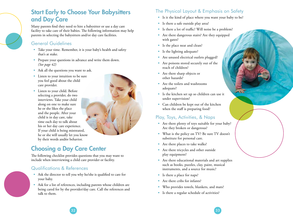## Start Early to Choose Your Babysitters and Day Care

Many parents find they need to hire a babysitter or use a day care facility to take care of their babies. The following information may help parents in selecting the babysitters and/or day care facilities.

### General Guidelines

- Take your time. Remember, it is your baby's health and safety that's at stake.
- Prepare your questions in advance and write them down. *(See page 42)*
- Ask all the questions you want to ask.
- Listen to your intuition to be sure you feel good about the child care provider.
- Listen to your child. Before selecting a provider, do two interviews. Take your child along on one to make sure he or she likes the place and the people. After your child is in day care, take time each day to talk about his or her day care experience. If your child is being mistreated, he or she will usually let you know by their words and/or behavior.

## Choosing a Day Care Center

The following checklist provides questions that you may want to include when interviewing a child care provider or facility.

### Qualifications & References

- Ask the director to tell you why he/she is qualified to care for your baby.
- Ask for a list of references, including parents whose children are being cared for by the provider/day care. Call the references and talk to them.

### The Physical Layout & Emphasis on Safety

- Is it the kind of place where you want your baby to be?
- Is there a safe outside play area?
- Is there a lot of traffic? Will noise be a problem?
- Are there dangerous stairs? Are they equipped with gates?
- Is the place neat and clean?
- Is the lighting adequate?
- Are unused electrical outlets plugged?
- Are poisons stored securely out of the reach of children?
- Are there sharp objects or other hazards?
- Are the toilets and washrooms adequate?
- Is the kitchen set up so children can use it under supervision?
- Can children be kept out of the kitchen when the staff is preparing food?

### Play, Toys, Activities, & Naps

- Are there plenty of toys suitable for your baby? Are they broken or dangerous?
- What is the policy on TV? Be sure TV doesn't substitute for personal care.
- Are there places to take walks?
- Are there tricycles and other outside play equipment?
- Are there educational materials and art supplies such as books, puzzles, clay, paint, musical instruments, and a source for music?
- Is there a place for naps?
- Are there cribs for infants?
- Who provides towels, blankets, and mats?
- Is there a regular schedule of activities?

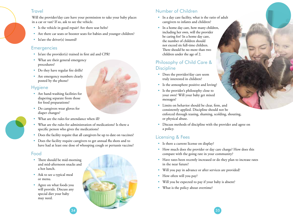#### **Travel**

Will the provider/day care have your permission to take your baby places in a car or van? If so, ask to see the vehicle.

- Is the vehicle in good repair? Are there seat belts?
- Are there car seats or booster seats for babies and younger children?
- Is/are the driver(s) insured?

#### **Emergencies**

- Is/are the provider(s) trained in first aid and CPR?
- What are their general emergency procedures?
- Do they have regular fire drills?
- Are emergency numbers clearly posted by the phone?

### **Hygiene**

- Are hand-washing facilities for diapering separate from those for food preparations?
- Do caregivers wear gloves for diaper changes?
- What are the rules for attendance when ill?
- What are the rules for administration of medications? Is there a specific person who gives the medications?
- Does the facility require that all caregivers be up to date on vaccines?
- Does the facility require caregivers to get annual flu shots and to have had at least one dose of whooping cough or pertussis vaccine?

#### Food

- There should be mid-morning and mid-afternoon snacks and a hot lunch.
- Ask to see a typical meal or menu.
- Agree on what foods you will provide. Discuss any special diet your baby may need.



### Number of Children

- In a day care facility, what is the ratio of adult caregivers to infants and children?
- In a home day care, how many children, including her own, will the provider be caring for? In a home day care, the number of children should not exceed six full-time children. There should be no more than two children under the age of 2.

### Philosophy of Child Care & **Discipline**

- Does the provider/day care seem truly interested in children?
- Is the atmosphere positive and loving?
- Is the provider's philosophy close to your own? Will your baby get mixed messages?
- Limits on behavior should be clear, firm, and consistently applied. Discipline should not be enforced through teasing, shaming, scolding, shouting, or physical abuse.
- Discuss methods of discipline with the provider and agree on a policy.

### Licensing & Fees

- Is there a current license on display?
- How much does the provider or day care charge? How does this compare with the going rate in your community?
- Have rates been recently increased or do they plan to increase rates in the near future?
- Will you pay in advance or after services are provided?
- How often will you pay?
- Will you be expected to pay if your baby is absent?
- What is the policy about overtime?

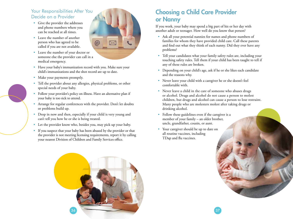### Your Responsibilities After You Decide on a Provider

- Give the provider the addresses and phone numbers where you can be reached at all times.
- Leave the number of another person who has agreed to be called if you are not available.



- Leave the number of your doctor or someone else the provider can call in a medical emergency.
- Have your baby's immunization record with you. Make sure your child's immunizations and the shot record are up to date.
- Make your payments promptly.
- Tell the provider about any allergies, physical problems, or other special needs of your baby.
- Follow your provider's policy on illness. Have an alternative plan if your baby is too sick to attend.
- Arrange for regular conferences with the provider. Don't let doubts or problems build up.
- Drop in now and then, especially if your child is very young and can't tell you how he or she is being treated.
- Let the provider know who, besides you, may pick up your baby.
- If you suspect that your baby has been abused by the provider or that the provider is not meeting licensing requirements, report it by calling your nearest Division of Children and Family Services office.

## Choosing a Child Care Provider or Nanny

If you work, your baby may spend a big part of his or her day with another adult or teenager. How well do you know that person?

- Ask all your potential nannies for names and phone numbers of families for whom they have provided child care. Call these parents and find out what they think of each nanny. Did they ever have any problems?
- Tell your candidates what your family safety rules are, including your touching safety rules. Tell them if your child has been taught to tell if any of these rules are broken.
- Depending on your child's age, ask if he or she likes each candidate and the reasons why.
- Never leave your child with a caregiver he or she doesn't feel comfortable with.
- Never leave a child in the care of someone who abuses drugs or alcohol. Drugs and alcohol do not cause a person to molest children, but drugs and alcohol can cause a person to lose restraint. Many people who are molesters molest after taking drugs or drinking alcohol.
- Follow these guidelines even if the caregiver is a member of your family – an older brother, uncle, grandfather, cousin, or aunt.
- Your caregiver should be up to date on all routine vaccines, including TDap and flu vaccines.



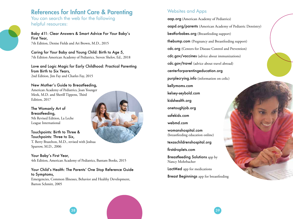## References for Infant Care & Parenting

You can search the web for the following helpful resources:

Baby 411: Clear Answers & Smart Advice For Your Baby's First Year, 7th Edition, Denise Fields and Ari Brown, M.D., 2015

Caring for Your Baby and Young Child: Birth to Age 5, 7th Edition American Academy of Pediatrics, Steven Shelov, Ed., 2018

Love and Logic Magic for Early Childhood: Practical Parenting from Birth to Six Years,

2nd Edition, Jim Fay and Charles Fay, 2015

New Mother's Guide to Breastfeeding, American Academy of Pediatrics, Joan Younger Meek, M.D. and Sherill Tippens, Third Edition, 2017

The Womanly Art of Breastfeeding, 9th Revised Edition, La Leche League International

Touchpoints: Birth to Three & Touchpoints: Three to Six, T. Berry Brazelton, M.D., revised with Joshua Sparrow, M.D., 2006

Your Baby's First Year, 4th Edition, American Academy of Pediatrics, Bantam Books, 2015

Your Child's Health: The Parents' One Stop Reference Guide to Symptoms,

Emergencies, Common Illnesses, Behavior and Healthy Development, Barton Schmitt, 2005

### Websites and Apps

aap.org (American Academy of Pediatrics) aapd.org/parents (American Academy of Pediatric Dentistry) bestforbabes.org (Breastfeeding support) thebump.com (Pregnancy and Breastfeeding support) cdc.org (Centers for Disease Control and Prevention) cdc.gov/vaccines (advice about immunizations) cdc.gov/travel (advice about travel abroad) centerforparentingeducation.org purplecrying.info (information on colic) kellymoms.com kelsey-seybold.com kidshealth.org onetoughjob.org safekids.com webmd.com womanshospital.com (breastfeeding education online) texaschildrenshospital.org firstdroplets.com Breastfeeding Solutions app by Nancy Mohrbacher LactMed app for medications

38 and the contract of the contract of the contract of the contract of the contract of the contract of the con

Breast Beginnings app for breastfeeding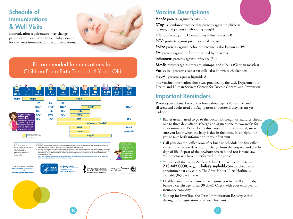## Schedule of Immunizations & Well Visits

Immunization requirements may change periodically. Please consult your baby's doctor for the latest immunization recommendations.



### Recommended Immunizations for Children From Birth Through 6 Years Old



## Vaccine Descriptions

HepB: protects against hepatitis B

DTap: a combined vaccine that protects against diphtheria, tetanus, and pertussis (whooping cough)

Hib: protects against Haemophilus influenzae type B

PCV: protects against pneumococcal disease

Polio: protects against polio; the vaccine is also known as IPV

RV: protects against infections caused by rotavirus

Influenza: protects against influenza (flu)

MMR: protects against measles, mumps, and rubella (German measles)

Varicella: protects against varicella, also known as chickenpox

HepA: protects against hepatitis A

The vaccine information above was provided by the U.S. Department of Health and Human Services Centers for Disease Control and Prevention.

## Important Reminders

Protect your infant: Everyone at home should get a flu vaccine, and all teens and adults need a TDap (pertussis) booster if they haven't yet had one.

- Babies usually need to go to the doctor for weight or jaundice checks one to three days after discharge and again at one to two weeks for an examination. Before being discharged from the hospital, make sure you know when the baby is due in the office. It is helpful for you to take birth information to your first visit.
- Call your doctor's office soon after birth to schedule the first office visits at one to two days after discharge from the hospital and  $7 - 14$ days of life. Repeat of the newborn screen blood test is state law. Your doctor will have it performed in the clinic.
- You can call the Kelsey-Seybold Clinic Contact Center 24/7 at 713-442-0000, or go to kelsey-seybold.com to schedule an appointment at any clinic. The After-Hours Nurse Hotline is available 365 days a year.
- Health insurance companies may require you to enroll your baby before a certain age (often 30 days). Check with your employer or insurance company.
- Sign up for ImmTrac, the Texas Immunization Registry, either during birth registration or at your first visit.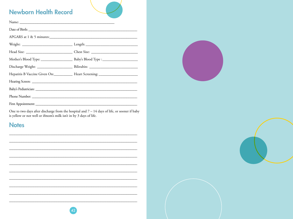## **Newborn Health Record**

| APGARS at $1 \& 5$ minutes: |                                                                                   |
|-----------------------------|-----------------------------------------------------------------------------------|
|                             |                                                                                   |
|                             |                                                                                   |
|                             |                                                                                   |
|                             |                                                                                   |
|                             | Hepatitis B Vaccine Given On: Heart Screening: __________________________________ |
|                             |                                                                                   |
|                             |                                                                                   |
|                             |                                                                                   |
|                             |                                                                                   |

One to two days after discharge from the hospital and  $7 - 14$  days of life, or sooner if baby<br>is yellow or not well or ifmom's milk isn't in by 3 days of life.

**Notes** 





<u> 1989 - Johann Barbara, martxa alemaniar argumento este alemaniar alemaniar alemaniar alemaniar alemaniar a</u>